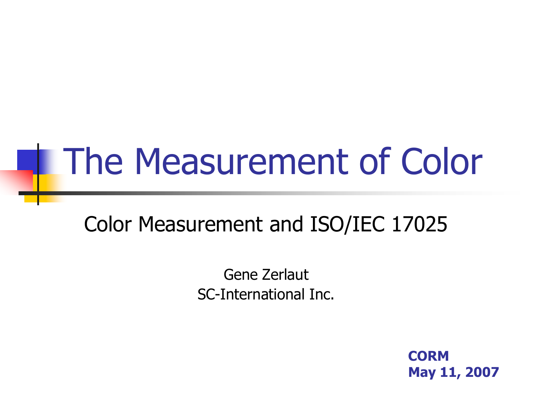# The Measurement of Color

#### Color Measurement and ISO/IEC 17025

Gene Zerlaut SC-International Inc.

> **CORM May 11, 2007**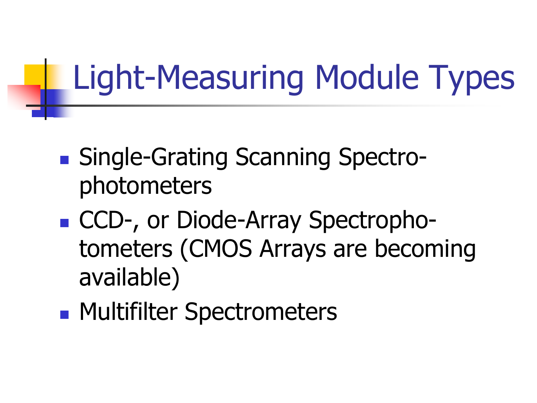## Light-Measuring Module Types

- Single-Grating Scanning Spectrophotometers
- CCD-, or Diode-Array Spectrophotometers (CMOS Arrays are becoming available)
- **Multifilter Spectrometers**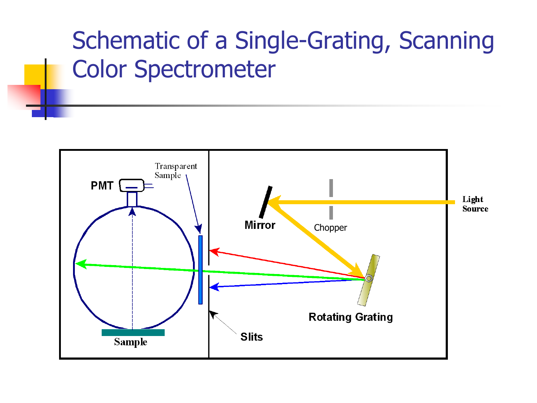#### Schematic of a Single-Grating, Scanning Color Spectrometer

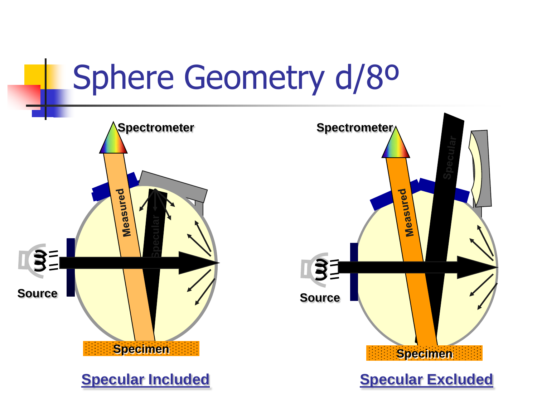## Sphere Geometry d/8º

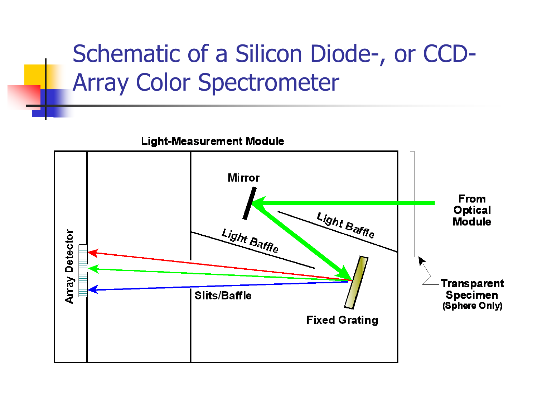#### Schematic of a Silicon Diode-, or CCD-Array Color Spectrometer

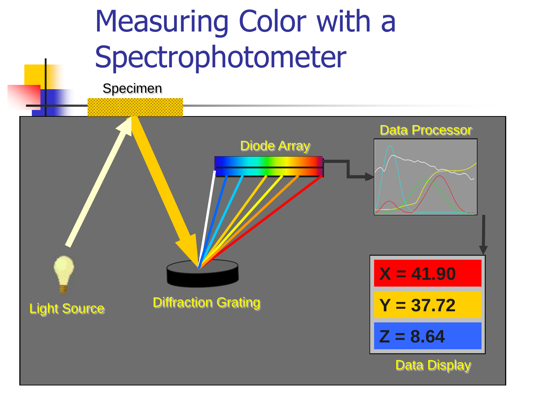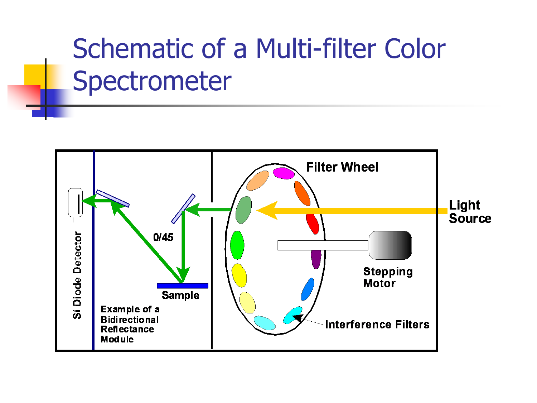#### Schematic of a Multi-filter Color Spectrometer

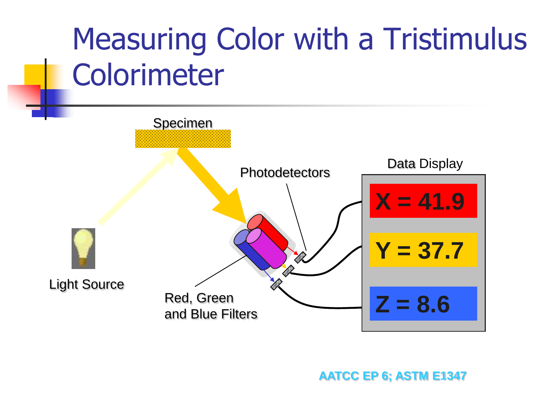

#### **AATCC EP 6; ASTM E1347**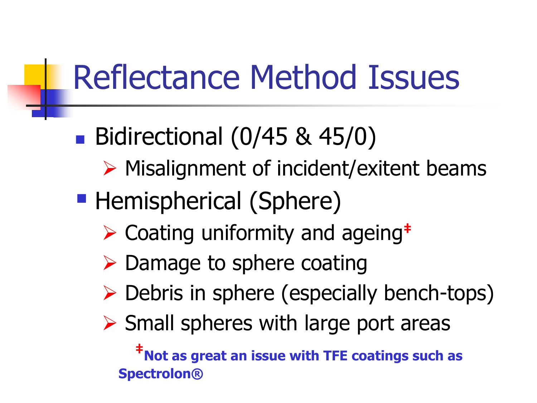## Reflectance Method Issues

- Bidirectional (0/45 & 45/0)
	- $\triangleright$  Misalignment of incident/exitent beams
- **Hemispherical (Sphere)** 
	- Coating uniformity and ageing**‡**
	- $\triangleright$  Damage to sphere coating
	- Debris in sphere (especially bench-tops)
	- $\triangleright$  Small spheres with large port areas

**‡Not as great an issue with TFE coatings such as Spectrolon®**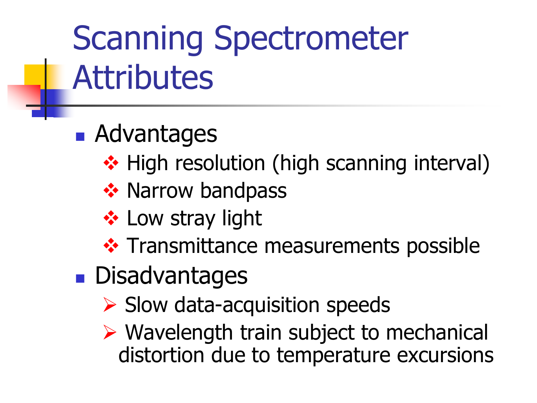# Scanning Spectrometer **Attributes**

- **Advantages** 
	- ❖ High resolution (high scanning interval)
	- ❖ Narrow bandpass
	- **❖ Low stray light**
	- ❖ Transmittance measurements possible
- **Disadvantages** 
	- $\triangleright$  Slow data-acquisition speeds
	- Wavelength train subject to mechanical distortion due to temperature excursions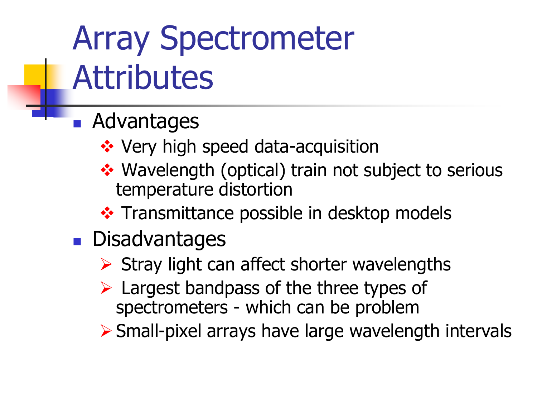# Array Spectrometer **Attributes**

- **Advantages** 
	- ❖ Very high speed data-acquisition
	- ◆ Wavelength (optical) train not subject to serious temperature distortion
	- ❖ Transmittance possible in desktop models
- **Disadvantages** 
	- $\triangleright$  Stray light can affect shorter wavelengths
	- $\triangleright$  Largest bandpass of the three types of spectrometers - which can be problem

Small-pixel arrays have large wavelength intervals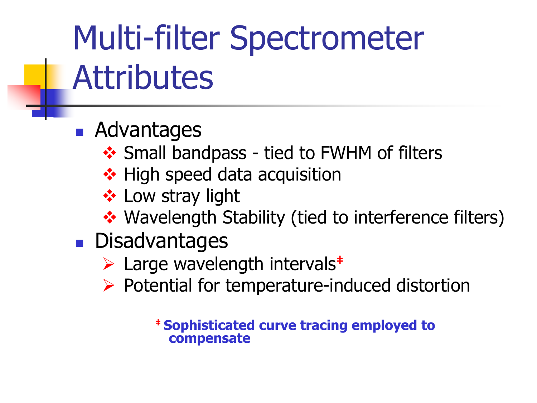# Multi-filter Spectrometer **Attributes**

- **Advantages** 
	- ❖ Small bandpass tied to FWHM of filters
	- ❖ High speed data acquisition
	- ❖ Low stray light
	- ◆ Wavelength Stability (tied to interference filters)
- **Disadvantages** 
	- Large wavelength intervals**‡**
	- $\triangleright$  Potential for temperature-induced distortion

**‡ Sophisticated curve tracing employed to compensate**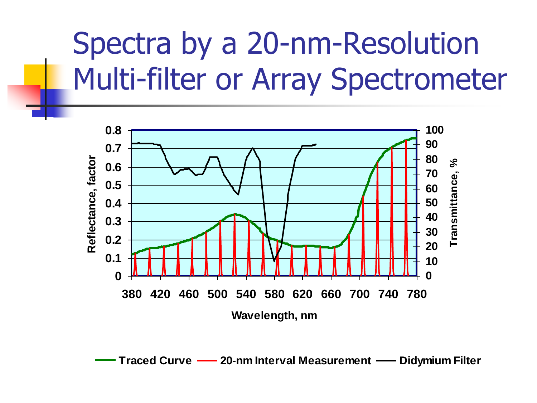#### Spectra by a 20-nm-Resolution Multi-filter or Array Spectrometer



**Traced Curve - 20-nm Interval Measurement - Didymium Filter**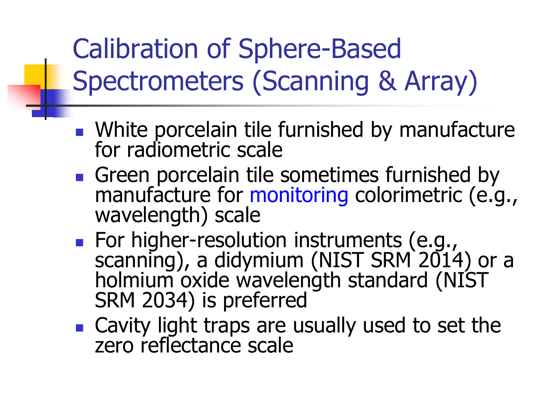#### Calibration of Sphere-Based Spectrometers (Scanning & Array)

- **Nite porcelain tile furnished by manufacture** for radiometric scale
- Green porcelain tile sometimes furnished by manufacture for monitoring colorimetric (e.g., wavelength) scale
- **For higher-resolution instruments (e.g.,** scanning), a didymium (NIST SRM 2014) or a holmium oxide wavelength standard (NIST SRM 2034) is preferred
- **Cavity light traps are usually used to set the** zero reflectance scale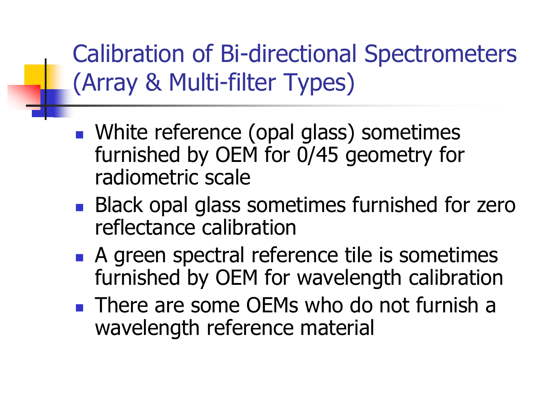Calibration of Bi-directional Spectrometers (Array & Multi-filter Types)

- **Number 19 and 5 and 5 and 5 and 7 and 7 and 7 and 7 and 7 and 7 and 7 and 7 and 7 and 7 and 7 and 7 and 7 and 7 and 7 and 7 and 7 and 7 and 7 and 7 and 7 and 7 and 7 and 7 and 7 and 7 and 7 and 7 and 7 and 7 and 7 and 7 a** furnished by OEM for 0/45 geometry for radiometric scale
- **Black opal glass sometimes furnished for zero** reflectance calibration
- A green spectral reference tile is sometimes furnished by OEM for wavelength calibration
- **There are some OEMs who do not furnish a** wavelength reference material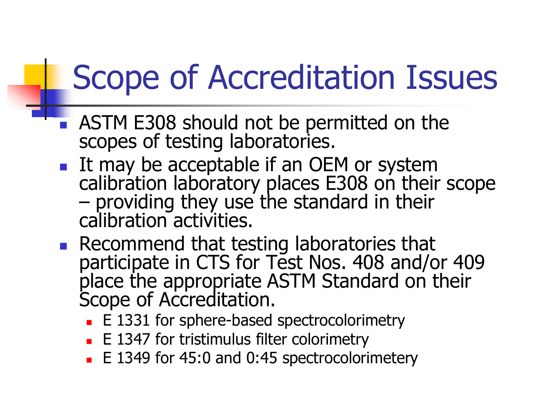## Scope of Accreditation Issues

- **ASTM E308 should not be permitted on the** scopes of testing laboratories.
- It may be acceptable if an OEM or system calibration laboratory places E308 on their scope – providing they use the standard in their calibration activities.
- **Recommend that testing laboratories that** participate in CTS for Test Nos. 408 and/or 409 place the appropriate ASTM Standard on their Scope of Accreditation.
	- E 1331 for sphere-based spectrocolorimetry
	- E 1347 for tristimulus filter colorimetry
	- E 1349 for 45:0 and 0:45 spectrocolorimetery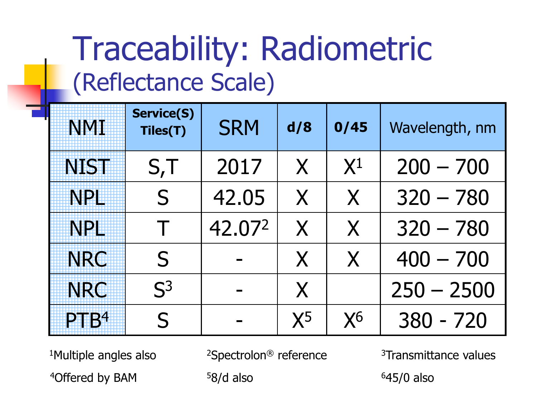#### Traceability: Radiometric (Reflectance Scale)

| <b>NMT</b>       | <b>Service(S)</b><br>Tiles(T) | <b>SRM</b> | d/8          | 0/45  | Wavelength, nm |
|------------------|-------------------------------|------------|--------------|-------|----------------|
| <b>NIST</b>      | S,T                           | 2017       | X            | $X^1$ | $200 - 700$    |
| <b>NPH</b>       | $\mathsf{S}$                  | 42.05      | $\mathsf{X}$ | X     | $320 - 780$    |
| <b>NPE</b>       | Τ                             | 42.072     | X            | X     | $320 - 780$    |
| <b>NRC</b>       | S                             |            | X            | X     | $400 - 700$    |
| <b>NRC</b>       | S <sup>3</sup>                |            | X            |       | $250 - 2500$   |
| PTB <sup>4</sup> | S                             |            | $X^5$        | $X^6$ | $380 - 720$    |

 $1$ Multiple angles also  $2$ Spectrolon<sup>®</sup> reference  $3$ Transmittance values

 $4$ Offered by BAM  $58/d$  also  $645/0$  also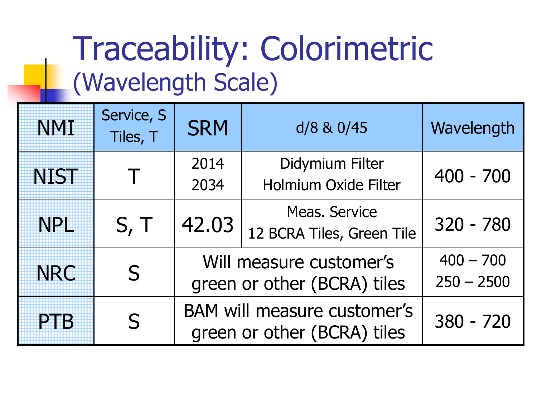#### Traceability: Colorimetric (Wavelength Scale)

| <b>NMI</b>  | Service, S<br>Tiles, T | <b>SRM</b>                                                        | d/8 & 0/45                                        | Wavelength  |
|-------------|------------------------|-------------------------------------------------------------------|---------------------------------------------------|-------------|
| <b>NIST</b> |                        | 2014<br>2034                                                      | Didymium Filter<br><b>Holmium Oxide Filter</b>    | $400 - 700$ |
| <b>NPH</b>  | S, T                   | 42.03                                                             | <b>Meas, Service</b><br>12 BCRA Tiles, Green Tile | 320 - 780   |
| <b>NRC</b>  | $\mathsf{S}$           | Will measure customer's<br>green or other (BCRA) tiles            | $400 - 700$<br>$250 - 2500$                       |             |
| PIER        | S                      | <b>BAM will measure customer's</b><br>green or other (BCRA) tiles | $380 - 720$                                       |             |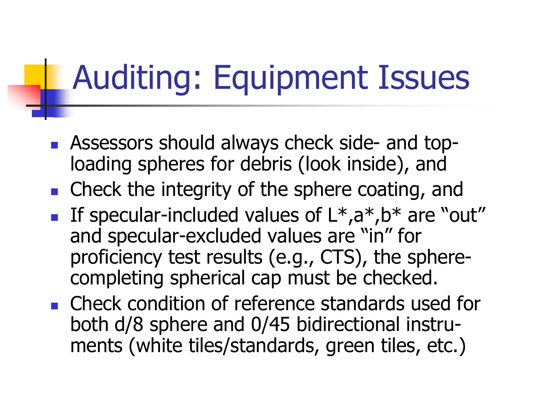## Auditing: Equipment Issues

- **Assessors should always check side- and top**loading spheres for debris (look inside), and
- Check the integrity of the sphere coating, and
- If specular-included values of  $L^*, a^*, b^*$  are "out" and specular-excluded values are "in" for proficiency test results (e.g., CTS), the spherecompleting spherical cap must be checked.
- Check condition of reference standards used for both d/8 sphere and 0/45 bidirectional instruments (white tiles/standards, green tiles, etc.)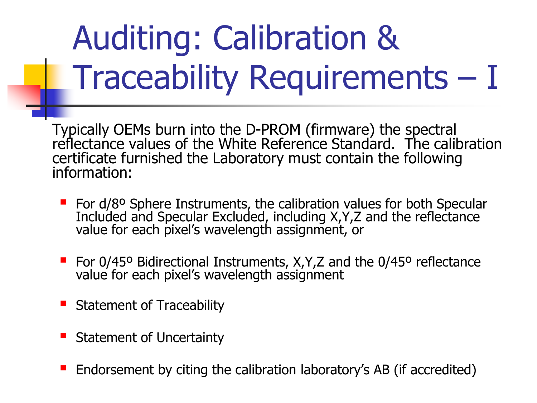# Auditing: Calibration & Traceability Requirements – I

Typically OEMs burn into the D-PROM (firmware) the spectral reflectance values of the White Reference Standard. The calibration certificate furnished the Laboratory must contain the following information:

- **For d/8º Sphere Instruments, the calibration values for both Specular** Included and Specular Excluded, including X,Y,Z and the reflectance value for each pixel's wavelength assignment, or
- For 0/45° Bidirectional Instruments, X, Y, Z and the 0/45° reflectance value for each pixel's wavelength assignment
- **Statement of Traceability**
- Statement of Uncertainty
- Endorsement by citing the calibration laboratory's AB (if accredited)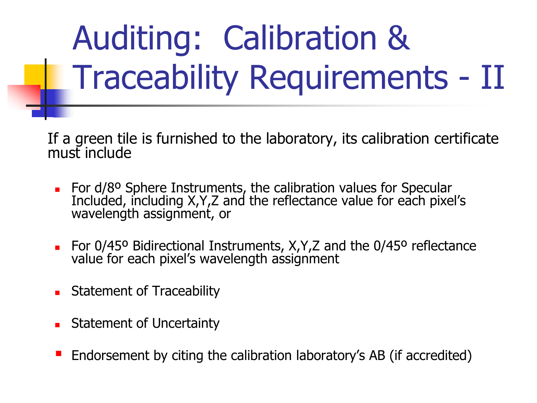# Auditing: Calibration & Traceability Requirements - II

If a green tile is furnished to the laboratory, its calibration certificate must include

- For d/8<sup>o</sup> Sphere Instruments, the calibration values for Specular Included, including X,Y,Z and the reflectance value for each pixel's wavelength assignment, or
- For 0/45º Bidirectional Instruments, X,Y,Z and the 0/45º reflectance value for each pixel's wavelength assignment
- **Statement of Traceability**
- **Statement of Uncertainty**
- Endorsement by citing the calibration laboratory's AB (if accredited)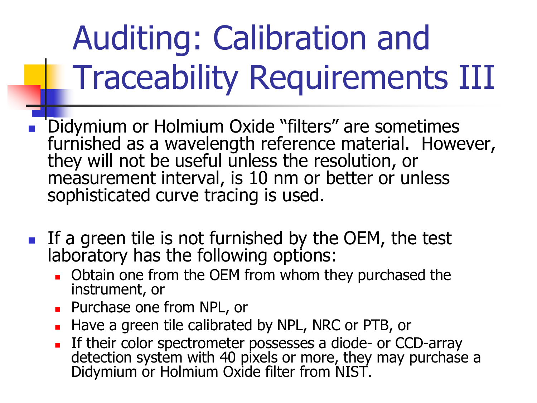# Auditing: Calibration and Traceability Requirements III

- Didymium or Holmium Oxide "filters" are sometimes furnished as a wavelength reference material. However, they will not be useful unless the resolution, or measurement interval, is 10 nm or better or unless sophisticated curve tracing is used.
- If a green tile is not furnished by the OEM, the test laboratory has the following options:
	- **D** Obtain one from the OEM from whom they purchased the instrument, or
	- **Purchase one from NPL, or**
	- Have a green tile calibrated by NPL, NRC or PTB, or
	- **If their color spectrometer possesses a diode- or CCD-array** detection system with 40 pixels or more, they may purchase a Didymium or Holmium Oxide filter from NIST.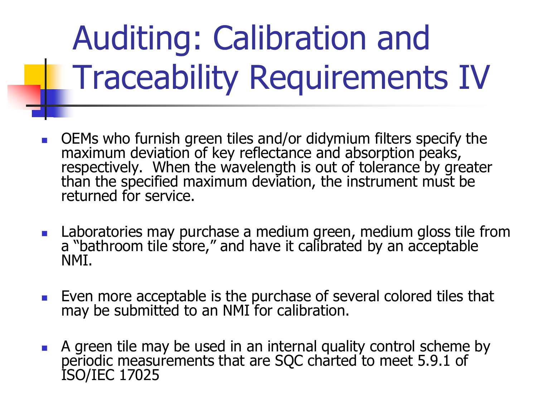# Auditing: Calibration and Traceability Requirements IV

- OEMs who furnish green tiles and/or didymium filters specify the maximum deviation of key reflectance and absorption peaks, respectively. When the wavelength is out of tolerance by greater than the specified maximum deviation, the instrument must be returned for service.
- **Laboratories may purchase a medium green, medium gloss tile from** a "bathroom tile store," and have it calibrated by an acceptable NMI.
- **Even more acceptable is the purchase of several colored tiles that** may be submitted to an NMI for calibration.
- A green tile may be used in an internal quality control scheme by periodic measurements that are SQC charted to meet 5.9.1 of ISO/IEC 17025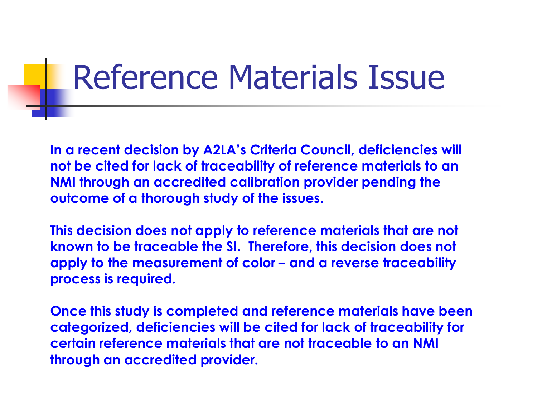#### Reference Materials Issue

**In a recent decision by A2LA's Criteria Council, deficiencies will not be cited for lack of traceability of reference materials to an NMI through an accredited calibration provider pending the outcome of a thorough study of the issues.** 

**This decision does not apply to reference materials that are not known to be traceable the SI. Therefore, this decision does not apply to the measurement of color – and a reverse traceability process is required.**

**Once this study is completed and reference materials have been categorized, deficiencies will be cited for lack of traceability for certain reference materials that are not traceable to an NMI through an accredited provider.**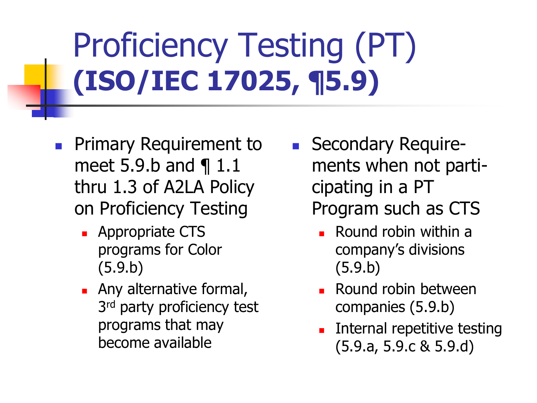# Proficiency Testing (PT) **(ISO/IEC 17025, ¶5.9)**

- **Primary Requirement to** meet 5.9.b and ¶ 1.1 thru 1.3 of A2LA Policy on Proficiency Testing
	- **Appropriate CTS** programs for Color (5.9.b)
	- **Any alternative formal,** 3<sup>rd</sup> party proficiency test programs that may become available
- **Secondary Require**ments when not participating in a PT Program such as CTS
	- Round robin within a company's divisions (5.9.b)
	- **Round robin between** companies (5.9.b)
	- Internal repetitive testing (5.9.a, 5.9.c & 5.9.d)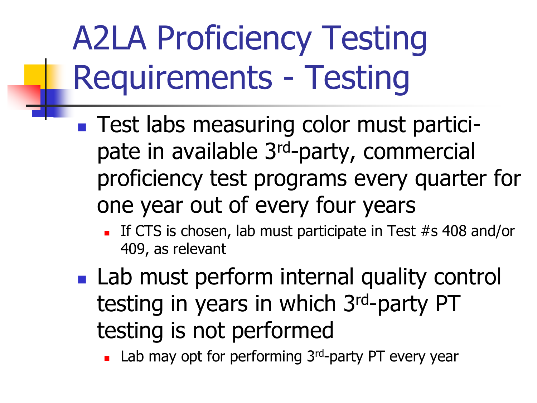# A2LA Proficiency Testing Requirements - Testing

- **Test labs measuring color must partici**pate in available 3rd-party, commercial proficiency test programs every quarter for one year out of every four years
	- If CTS is chosen, lab must participate in Test  $#s$  408 and/or 409, as relevant
- **Lab must perform internal quality control** testing in years in which 3rd-party PT testing is not performed

Lab may opt for performing 3<sup>rd</sup>-party PT every year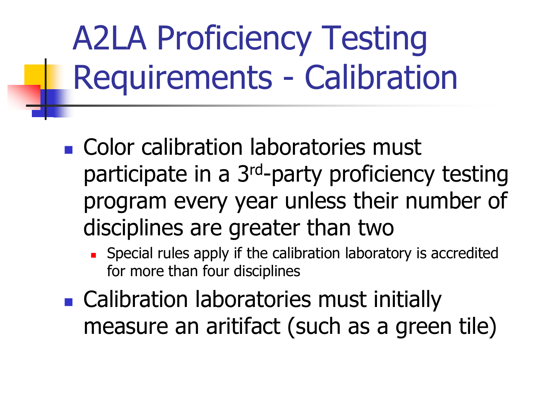# A2LA Proficiency Testing Requirements - Calibration

- **Color calibration laboratories must** participate in a 3rd-party proficiency testing program every year unless their number of disciplines are greater than two
	- Special rules apply if the calibration laboratory is accredited for more than four disciplines
- **Example: Calibration laboratories must initially** measure an aritifact (such as a green tile)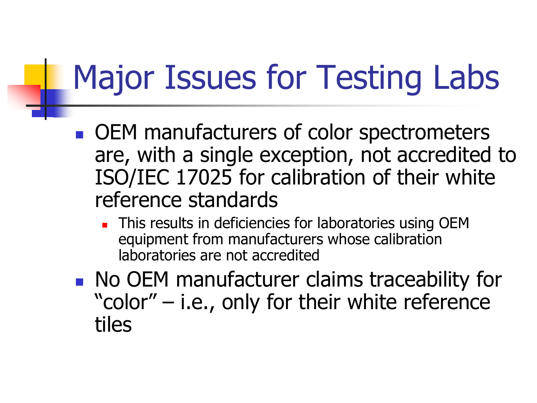## Major Issues for Testing Labs

- OEM manufacturers of color spectrometers are, with a single exception, not accredited to ISO/IEC 17025 for calibration of their white reference standards
	- This results in deficiencies for laboratories using OEM equipment from manufacturers whose calibration laboratories are not accredited
- **No OEM manufacturer claims traceability for** "color" – i.e., only for their white reference tiles